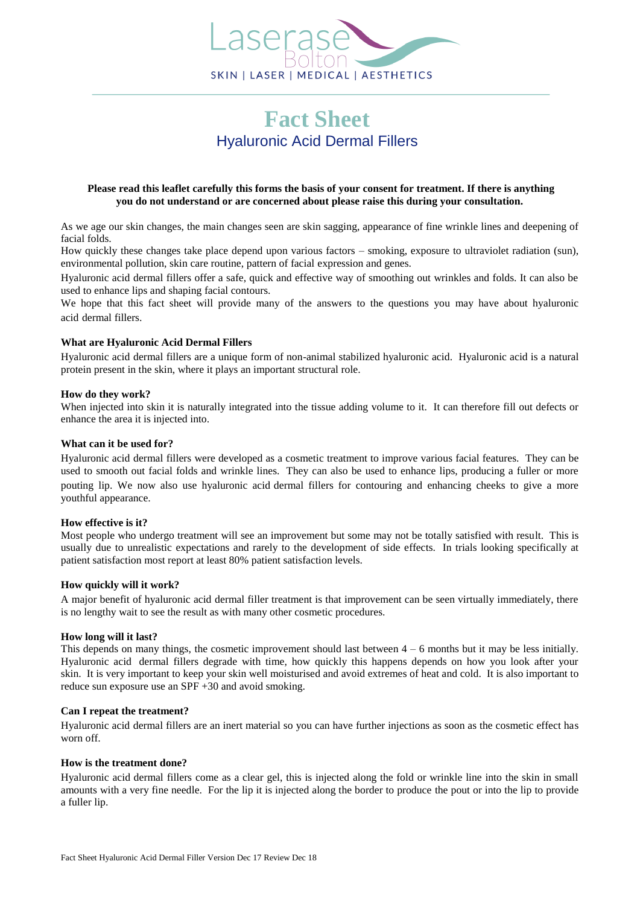

# **Fact Sheet** [Hyaluronic](http://www.laserase-bolton.co.uk/treatments/restylane-hyaluronic-acid/) Acid Dermal Fillers

# **Please read this leaflet carefully this forms the basis of your consent for treatment. If there is anything you do not understand or are concerned about please raise this during your consultation.**

As we age our skin changes, the main changes seen are skin sagging, appearance of fine wrinkle lines and deepening of facial folds.

How quickly these changes take place depend upon various factors – smoking, exposure to ultraviolet radiation (sun), environmental pollution, skin care routine, pattern of facial expression and genes.

Hyaluronic acid dermal fillers offer a safe, quick and effective way of smoothing out wrinkles and folds. It can also be used to enhance lips and shaping facial contours.

We hope that this fact sheet will provide many of the answers to the questions you may have about hyaluronic acid dermal fillers.

# **What are Hyaluronic Acid Dermal Fillers**

Hyaluronic acid dermal fillers are a unique form of non-animal stabilized hyaluronic acid. Hyaluronic acid is a natural protein present in the skin, where it plays an important structural role.

# **How do they work?**

When injected into skin it is naturally integrated into the tissue adding volume to it. It can therefore fill out defects or enhance the area it is injected into.

# **What can it be used for?**

Hyaluronic acid dermal fillers were developed as a cosmetic treatment to improve various facial features. They can be used to smooth out facial folds and wrinkle lines. They can also be used to enhance lips, producing a fuller or more pouting lip. We now also use hyaluronic acid dermal fillers for contouring and enhancing cheeks to give a more youthful appearance.

## **How effective is it?**

Most people who undergo treatment will see an improvement but some may not be totally satisfied with result. This is usually due to unrealistic expectations and rarely to the development of side effects. In trials looking specifically at patient satisfaction most report at least 80% patient satisfaction levels.

## **How quickly will it work?**

A major benefit of hyaluronic acid dermal filler treatment is that improvement can be seen virtually immediately, there is no lengthy wait to see the result as with many other cosmetic procedures.

## **How long will it last?**

This depends on many things, the cosmetic improvement should last between 4 – 6 months but it may be less initially. Hyaluronic acid dermal fillers degrade with time, how quickly this happens depends on how you look after your skin. It is very important to keep your skin well moisturised and avoid extremes of heat and cold. It is also important to reduce sun exposure use an SPF +30 and avoid smoking.

## **Can I repeat the treatment?**

Hyaluronic acid dermal fillers are an inert material so you can have further injections as soon as the cosmetic effect has worn off.

## **How is the treatment done?**

Hyaluronic acid dermal fillers come as a clear gel, this is injected along the fold or wrinkle line into the skin in small amounts with a very fine needle. For the lip it is injected along the border to produce the pout or into the lip to provide a fuller lip.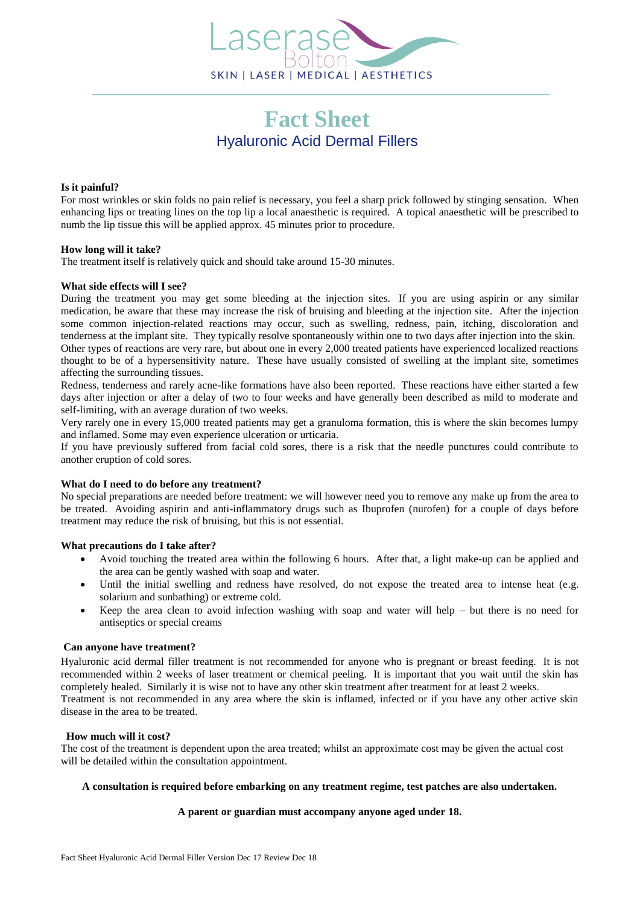

# **Fact Sheet** Hyaluronic Acid Dermal Fillers

# **Is it painful?**

For most wrinkles or skin folds no pain relief is necessary, you feel a sharp prick followed by stinging sensation. When enhancing lips or treating lines on the top lip a local anaesthetic is required. A topical anaesthetic will be prescribed to numb the lip tissue this will be applied approx. 45 minutes prior to procedure.

# **How long will it take?**

The treatment itself is relatively quick and should take around 15-30 minutes.

#### **What side effects will I see?**

During the treatment you may get some bleeding at the injection sites. If you are using aspirin or any similar medication, be aware that these may increase the risk of bruising and bleeding at the injection site. After the injection some common injection-related reactions may occur, such as swelling, redness, pain, itching, discoloration and tenderness at the implant site. They typically resolve spontaneously within one to two days after injection into the skin. Other types of reactions are very rare, but about one in every 2,000 treated patients have experienced localized reactions thought to be of a hypersensitivity nature. These have usually consisted of swelling at the implant site, sometimes affecting the surrounding tissues.

Redness, tenderness and rarely acne-like formations have also been reported. These reactions have either started a few days after injection or after a delay of two to four weeks and have generally been described as mild to moderate and self-limiting, with an average duration of two weeks.

Very rarely one in every 15,000 treated patients may get a granuloma formation, this is where the skin becomes lumpy and inflamed. Some may even experience ulceration or urticaria.

If you have previously suffered from facial cold sores, there is a risk that the needle punctures could contribute to another eruption of cold sores.

#### **What do I need to do before any treatment?**

No special preparations are needed before treatment: we will however need you to remove any make up from the area to be treated. Avoiding aspirin and anti-inflammatory drugs such as Ibuprofen (nurofen) for a couple of days before treatment may reduce the risk of bruising, but this is not essential.

## **What precautions do I take after?**

- Avoid touching the treated area within the following 6 hours. After that, a light make-up can be applied and the area can be gently washed with soap and water.
- Until the initial swelling and redness have resolved, do not expose the treated area to intense heat (e.g. solarium and sunbathing) or extreme cold.
- Keep the area clean to avoid infection washing with soap and water will help but there is no need for antiseptics or special creams

#### **Can anyone have treatment?**

Hyaluronic acid dermal filler treatment is not recommended for anyone who is pregnant or breast feeding. It is not recommended within 2 weeks of laser treatment or chemical peeling. It is important that you wait until the skin has completely healed. Similarly it is wise not to have any other skin treatment after treatment for at least 2 weeks.

Treatment is not recommended in any area where the skin is inflamed, infected or if you have any other active skin disease in the area to be treated.

# **How much will it cost?**

The cost of the treatment is dependent upon the area treated; whilst an approximate cost may be given the actual cost will be detailed within the consultation appointment.

## **A consultation is required before embarking on any treatment regime, test patches are also undertaken.**

## **A parent or guardian must accompany anyone aged under 18.**